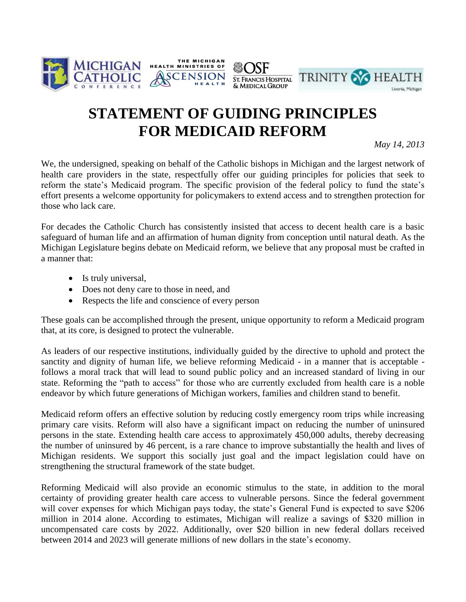





## **STATEMENT OF GUIDING PRINCIPLES FOR MEDICAID REFORM**

*May 14, 2013*

We, the undersigned, speaking on behalf of the Catholic bishops in Michigan and the largest network of health care providers in the state, respectfully offer our guiding principles for policies that seek to reform the state's Medicaid program. The specific provision of the federal policy to fund the state's effort presents a welcome opportunity for policymakers to extend access and to strengthen protection for those who lack care.

For decades the Catholic Church has consistently insisted that access to decent health care is a basic safeguard of human life and an affirmation of human dignity from conception until natural death. As the Michigan Legislature begins debate on Medicaid reform, we believe that any proposal must be crafted in a manner that:

- Is truly universal,
- Does not deny care to those in need, and
- Respects the life and conscience of every person

These goals can be accomplished through the present, unique opportunity to reform a Medicaid program that, at its core, is designed to protect the vulnerable.

As leaders of our respective institutions, individually guided by the directive to uphold and protect the sanctity and dignity of human life, we believe reforming Medicaid - in a manner that is acceptable follows a moral track that will lead to sound public policy and an increased standard of living in our state. Reforming the "path to access" for those who are currently excluded from health care is a noble endeavor by which future generations of Michigan workers, families and children stand to benefit.

Medicaid reform offers an effective solution by reducing costly emergency room trips while increasing primary care visits. Reform will also have a significant impact on reducing the number of uninsured persons in the state. Extending health care access to approximately 450,000 adults, thereby decreasing the number of uninsured by 46 percent, is a rare chance to improve substantially the health and lives of Michigan residents. We support this socially just goal and the impact legislation could have on strengthening the structural framework of the state budget.

Reforming Medicaid will also provide an economic stimulus to the state, in addition to the moral certainty of providing greater health care access to vulnerable persons. Since the federal government will cover expenses for which Michigan pays today, the state's General Fund is expected to save \$206 million in 2014 alone. According to estimates, Michigan will realize a savings of \$320 million in uncompensated care costs by 2022. Additionally, over \$20 billion in new federal dollars received between 2014 and 2023 will generate millions of new dollars in the state's economy.